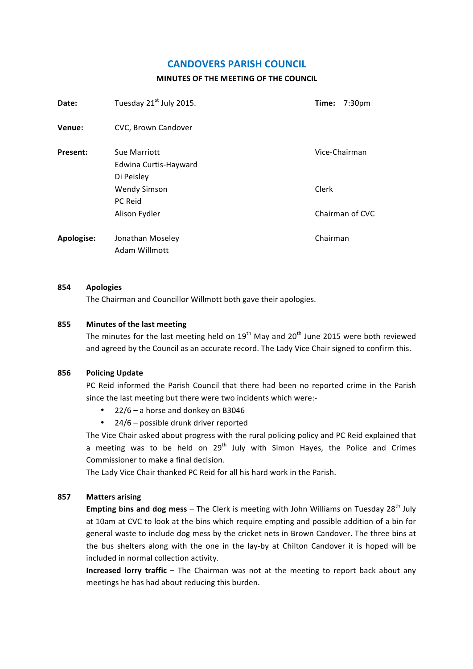# **CANDOVERS PARISH COUNCIL**

# **MINUTES OF THE MEETING OF THE COUNCIL**

| Date:      | Tuesday 21 <sup>st</sup> July 2015.                 | Time:<br>7:30 <sub>pm</sub> |
|------------|-----------------------------------------------------|-----------------------------|
| Venue:     | CVC, Brown Candover                                 |                             |
| Present:   | Sue Marriott<br>Edwina Curtis-Hayward<br>Di Peisley | Vice-Chairman               |
|            | <b>Wendy Simson</b><br><b>PC Reid</b>               | Clerk                       |
|            | Alison Fydler                                       | Chairman of CVC             |
| Apologise: | Jonathan Moseley<br>Adam Willmott                   | Chairman                    |

#### **854 Apologies**

The Chairman and Councillor Willmott both gave their apologies.

### **855** Minutes of the last meeting

The minutes for the last meeting held on  $19^{th}$  May and  $20^{th}$  June 2015 were both reviewed and agreed by the Council as an accurate record. The Lady Vice Chair signed to confirm this.

### **856 Policing Update**

PC Reid informed the Parish Council that there had been no reported crime in the Parish since the last meeting but there were two incidents which were:-

- $22/6$  a horse and donkey on B3046
- 24/6 possible drunk driver reported

The Vice Chair asked about progress with the rural policing policy and PC Reid explained that a meeting was to be held on  $29<sup>th</sup>$  July with Simon Hayes, the Police and Crimes Commissioner to make a final decision.

The Lady Vice Chair thanked PC Reid for all his hard work in the Parish.

#### **857 Matters arising**

**Empting bins and dog mess** – The Clerk is meeting with John Williams on Tuesday 28<sup>th</sup> July at 10am at CVC to look at the bins which require empting and possible addition of a bin for general waste to include dog mess by the cricket nets in Brown Candover. The three bins at the bus shelters along with the one in the lay-by at Chilton Candover it is hoped will be included in normal collection activity.

**Increased lorry traffic** – The Chairman was not at the meeting to report back about any meetings he has had about reducing this burden.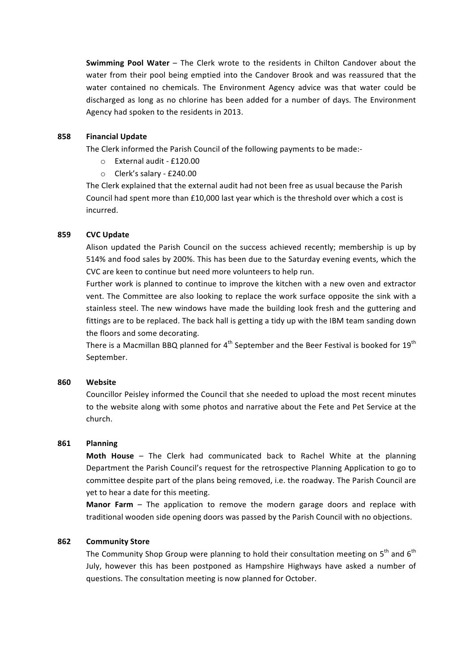**Swimming Pool Water** – The Clerk wrote to the residents in Chilton Candover about the water from their pool being emptied into the Candover Brook and was reassured that the water contained no chemicals. The Environment Agency advice was that water could be discharged as long as no chlorine has been added for a number of days. The Environment Agency had spoken to the residents in 2013.

### **858 Financial Update**

The Clerk informed the Parish Council of the following payments to be made:-

- o External audit - £120.00
- $\circ$  Clerk's salary £240.00

The Clerk explained that the external audit had not been free as usual because the Parish Council had spent more than £10,000 last year which is the threshold over which a cost is incurred.

# **859 CVC Update**

Alison updated the Parish Council on the success achieved recently; membership is up by 514% and food sales by 200%. This has been due to the Saturday evening events, which the CVC are keen to continue but need more volunteers to help run.

Further work is planned to continue to improve the kitchen with a new oven and extractor vent. The Committee are also looking to replace the work surface opposite the sink with a stainless steel. The new windows have made the building look fresh and the guttering and fittings are to be replaced. The back hall is getting a tidy up with the IBM team sanding down the floors and some decorating.

There is a Macmillan BBQ planned for  $4^{\text{th}}$  September and the Beer Festival is booked for  $19^{\text{th}}$ September.

#### **860 Website**

Councillor Peisley informed the Council that she needed to upload the most recent minutes to the website along with some photos and narrative about the Fete and Pet Service at the church.

#### **861 Planning**

**Moth House** – The Clerk had communicated back to Rachel White at the planning Department the Parish Council's request for the retrospective Planning Application to go to committee despite part of the plans being removed, i.e. the roadway. The Parish Council are yet to hear a date for this meeting.

**Manor Farm** – The application to remove the modern garage doors and replace with traditional wooden side opening doors was passed by the Parish Council with no objections.

#### **862 Community Store**

The Community Shop Group were planning to hold their consultation meeting on  $5<sup>th</sup>$  and  $6<sup>th</sup>$ July, however this has been postponed as Hampshire Highways have asked a number of questions. The consultation meeting is now planned for October.